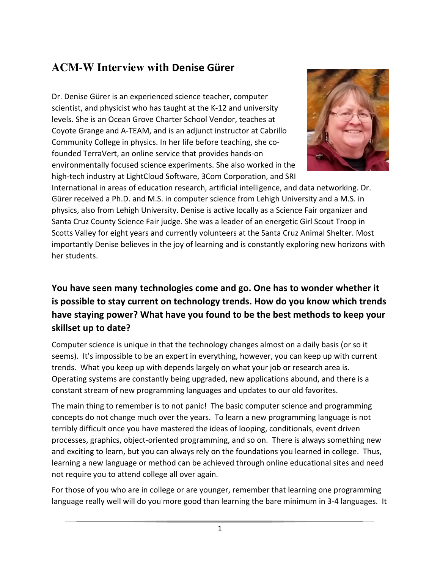# **ACM-W Interview with Denise Gürer**

Dr. Denise Gürer is an experienced science teacher, computer scientist, and physicist who has taught at the K-12 and university levels. She is an Ocean Grove Charter School Vendor, teaches at Coyote Grange and A-TEAM, and is an adjunct instructor at Cabrillo Community College in physics. In her life before teaching, she cofounded TerraVert, an online service that provides hands-on environmentally focused science experiments. She also worked in the high-tech industry at LightCloud Software, 3Com Corporation, and SRI



International in areas of education research, artificial intelligence, and data networking. Dr. Gürer received a Ph.D. and M.S. in computer science from Lehigh University and a M.S. in physics, also from Lehigh University. Denise is active locally as a Science Fair organizer and Santa Cruz County Science Fair judge. She was a leader of an energetic Girl Scout Troop in Scotts Valley for eight years and currently volunteers at the Santa Cruz Animal Shelter. Most importantly Denise believes in the joy of learning and is constantly exploring new horizons with her students.

### You have seen many technologies come and go. One has to wonder whether it **is possible to stay current on technology trends. How do you know which trends** have staying power? What have you found to be the best methods to keep your skillset up to date?

Computer science is unique in that the technology changes almost on a daily basis (or so it seems). It's impossible to be an expert in everything, however, you can keep up with current trends. What you keep up with depends largely on what your job or research area is. Operating systems are constantly being upgraded, new applications abound, and there is a constant stream of new programming languages and updates to our old favorites.

The main thing to remember is to not panic! The basic computer science and programming concepts do not change much over the years. To learn a new programming language is not terribly difficult once you have mastered the ideas of looping, conditionals, event driven processes, graphics, object-oriented programming, and so on. There is always something new and exciting to learn, but you can always rely on the foundations you learned in college. Thus, learning a new language or method can be achieved through online educational sites and need not require you to attend college all over again.

For those of you who are in college or are younger, remember that learning one programming language really well will do you more good than learning the bare minimum in 3-4 languages. It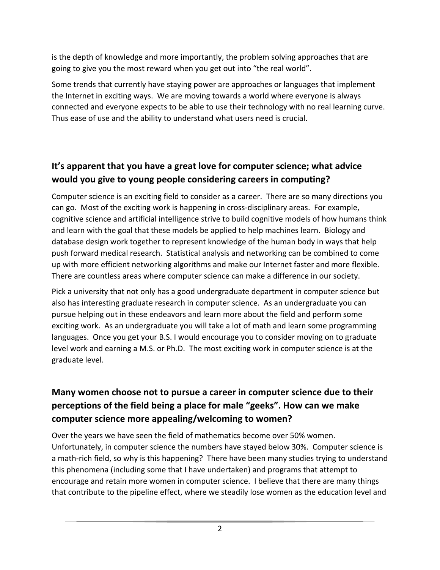is the depth of knowledge and more importantly, the problem solving approaches that are going to give you the most reward when you get out into "the real world".

Some trends that currently have staying power are approaches or languages that implement the Internet in exciting ways. We are moving towards a world where everyone is always connected and everyone expects to be able to use their technology with no real learning curve. Thus ease of use and the ability to understand what users need is crucial.

## It's apparent that you have a great love for computer science; what advice **would you give to young people considering careers in computing?**

Computer science is an exciting field to consider as a career. There are so many directions you can go. Most of the exciting work is happening in cross-disciplinary areas. For example, cognitive science and artificial intelligence strive to build cognitive models of how humans think and learn with the goal that these models be applied to help machines learn. Biology and database design work together to represent knowledge of the human body in ways that help push forward medical research. Statistical analysis and networking can be combined to come up with more efficient networking algorithms and make our Internet faster and more flexible. There are countless areas where computer science can make a difference in our society.

Pick a university that not only has a good undergraduate department in computer science but also has interesting graduate research in computer science. As an undergraduate you can pursue helping out in these endeavors and learn more about the field and perform some exciting work. As an undergraduate you will take a lot of math and learn some programming languages. Once you get your B.S. I would encourage you to consider moving on to graduate level work and earning a M.S. or Ph.D. The most exciting work in computer science is at the graduate level.

### Many women choose not to pursue a career in computer science due to their **perceptions of the field being a place for male "geeks". How can we make** computer science more appealing/welcoming to women?

Over the years we have seen the field of mathematics become over 50% women. Unfortunately, in computer science the numbers have stayed below 30%. Computer science is a math-rich field, so why is this happening? There have been many studies trying to understand this phenomena (including some that I have undertaken) and programs that attempt to encourage and retain more women in computer science. I believe that there are many things that contribute to the pipeline effect, where we steadily lose women as the education level and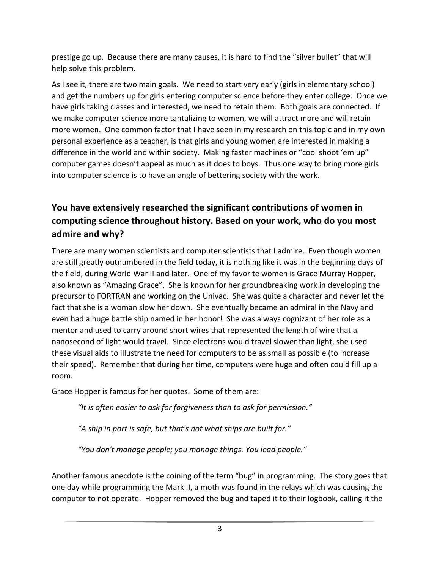prestige go up. Because there are many causes, it is hard to find the "silver bullet" that will help solve this problem.

As I see it, there are two main goals. We need to start very early (girls in elementary school) and get the numbers up for girls entering computer science before they enter college. Once we have girls taking classes and interested, we need to retain them. Both goals are connected. If we make computer science more tantalizing to women, we will attract more and will retain more women. One common factor that I have seen in my research on this topic and in my own personal experience as a teacher, is that girls and young women are interested in making a difference in the world and within society. Making faster machines or "cool shoot 'em up" computer games doesn't appeal as much as it does to boys. Thus one way to bring more girls into computer science is to have an angle of bettering society with the work.

## You have extensively researched the significant contributions of women in computing science throughout history. Based on your work, who do you most admire and why?

There are many women scientists and computer scientists that I admire. Even though women are still greatly outnumbered in the field today, it is nothing like it was in the beginning days of the field, during World War II and later. One of my favorite women is Grace Murray Hopper, also known as "Amazing Grace". She is known for her groundbreaking work in developing the precursor to FORTRAN and working on the Univac. She was quite a character and never let the fact that she is a woman slow her down. She eventually became an admiral in the Navy and even had a huge battle ship named in her honor! She was always cognizant of her role as a mentor and used to carry around short wires that represented the length of wire that a nanosecond of light would travel. Since electrons would travel slower than light, she used these visual aids to illustrate the need for computers to be as small as possible (to increase their speed). Remember that during her time, computers were huge and often could fill up a room.

Grace Hopper is famous for her quotes. Some of them are:

"It is often easier to ask for forgiveness than to ask for permission."

"A ship in port is safe, but that's not what ships are built for."

*"You don't manage people; you manage things. You lead people."*

Another famous anecdote is the coining of the term "bug" in programming. The story goes that one day while programming the Mark II, a moth was found in the relays which was causing the computer to not operate. Hopper removed the bug and taped it to their logbook, calling it the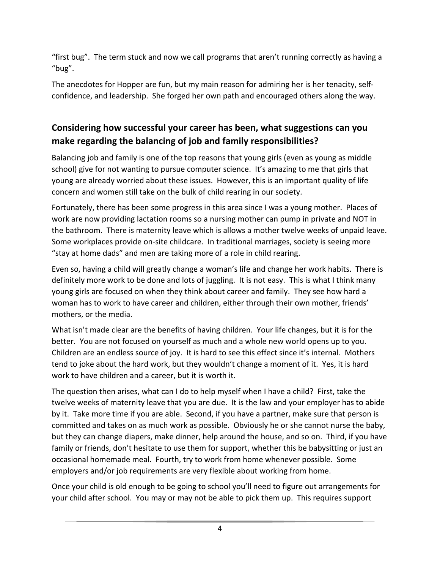"first bug". The term stuck and now we call programs that aren't running correctly as having a "bug".

The anecdotes for Hopper are fun, but my main reason for admiring her is her tenacity, selfconfidence, and leadership. She forged her own path and encouraged others along the way.

### Considering how successful your career has been, what suggestions can you make regarding the balancing of job and family responsibilities?

Balancing job and family is one of the top reasons that young girls (even as young as middle school) give for not wanting to pursue computer science. It's amazing to me that girls that young are already worried about these issues. However, this is an important quality of life concern and women still take on the bulk of child rearing in our society.

Fortunately, there has been some progress in this area since I was a young mother. Places of work are now providing lactation rooms so a nursing mother can pump in private and NOT in the bathroom. There is maternity leave which is allows a mother twelve weeks of unpaid leave. Some workplaces provide on-site childcare. In traditional marriages, society is seeing more "stay at home dads" and men are taking more of a role in child rearing.

Even so, having a child will greatly change a woman's life and change her work habits. There is definitely more work to be done and lots of juggling. It is not easy. This is what I think many young girls are focused on when they think about career and family. They see how hard a woman has to work to have career and children, either through their own mother, friends' mothers, or the media.

What isn't made clear are the benefits of having children. Your life changes, but it is for the better. You are not focused on yourself as much and a whole new world opens up to you. Children are an endless source of joy. It is hard to see this effect since it's internal. Mothers tend to joke about the hard work, but they wouldn't change a moment of it. Yes, it is hard work to have children and a career, but it is worth it.

The question then arises, what can I do to help myself when I have a child? First, take the twelve weeks of maternity leave that you are due. It is the law and your employer has to abide by it. Take more time if you are able. Second, if you have a partner, make sure that person is committed and takes on as much work as possible. Obviously he or she cannot nurse the baby, but they can change diapers, make dinner, help around the house, and so on. Third, if you have family or friends, don't hesitate to use them for support, whether this be babysitting or just an occasional homemade meal. Fourth, try to work from home whenever possible. Some employers and/or job requirements are very flexible about working from home.

Once your child is old enough to be going to school you'll need to figure out arrangements for your child after school. You may or may not be able to pick them up. This requires support